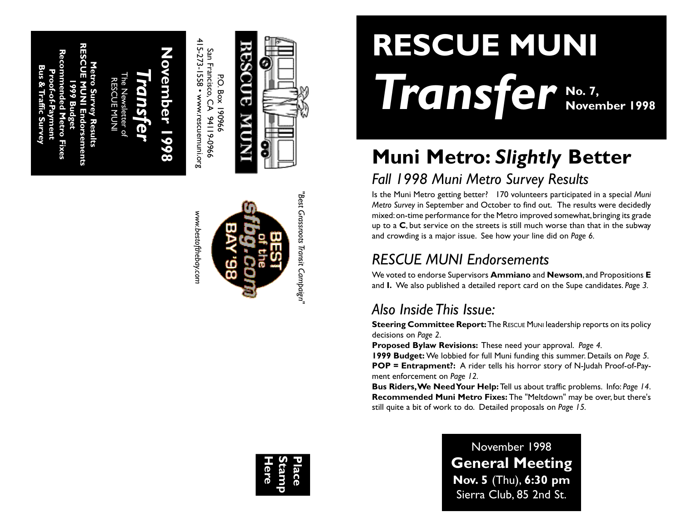**RESCUE MUNI Endorsements Recommended Metro Fixes Metro Survey Results Bus & Traffic Survey Proof-of-Payment** RESCUE MUNI **1999 Budget** urvey

*Transfer* The Newsletter of

## **November 1998 Q**  $\bullet$ Ŏ ã

415-273-1558 • www.rescuemuni.org 415-273-1558 • www.rescuemuni.org San Francisco, CA 94119-0966 San Francisco, CA 94119-0966 **P.O. Box 190966** P.O. Box 190966

*www.bestofthebay.com*

www.bestofthebay.con





# **RESCUE MUNI** *Transfer* **No. 7, November 1998**

# **Muni Metro:** *Slightly* **Better**

### *Fall 1998 Muni Metro Survey Results*

Is the Muni Metro getting better? 170 volunteers participated in a special *Muni Metro Survey* in September and October to find out. The results were decidedly mixed: on-time performance for the Metro improved somewhat, bringing its grade up to a **C**, but service on the streets is still much worse than that in the subway and crowding is a major issue. See how your line did on *Page 6.*

### *RESCUE MUNI Endorsements*

We voted to endorse Supervisors **Ammiano** and **Newsom**, and Propositions **E** and **I.** We also published a detailed report card on the Supe candidates. *Page 3.*

### *Also Inside This Issue:*

**Steering Committee Report:** The RESCUE MUNI leadership reports on its policy decisions on *Page 2* .

**Proposed Bylaw Revisions:** These need your approval. *Page 4.*

**1999 Budget:** We lobbied for full Muni funding this summer. Details on *Page 5.* **POP = Entrapment?:** A rider tells his horror story of N-Judah Proof-of-Payment enforcement on *Page 12.*

**Bus Riders, We Need Your Help:** Tell us about traffic problems. Info: *Page 14* . **Recommended Muni Metro Fixes:** The "Meltdown" may be over, but there's still quite a bit of work to do. Detailed proposals on *Page 15.*

**Here Stamp Place**

November 1998 **General Meeting Nov. 5** (Thu), **6:30 pm** Sierra Club, 85 2nd St.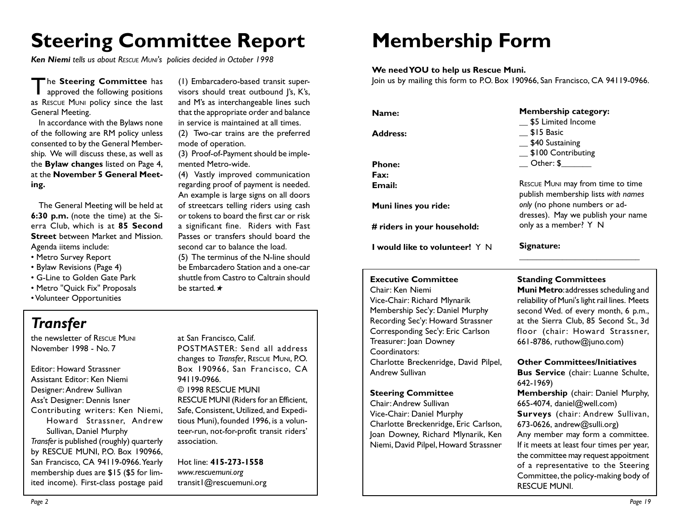## **Steering Committee Report**

*Ken Niemi tells us about RESCUE MUNI's policies decided in October 1998*

The **Steering Committee** has<br>approved the following positions as RESCUE MUNI policy since the last General Meeting.

In accordance with the Bylaws none of the following are RM policy unless consented to by the General Membership. We will discuss these, as well as the **Bylaw changes** listed on Page 4, at the **November 5 General Meeting.**

The General Meeting will be held at **6:30 p.m.** (note the time) at the Sierra Club, which is at **85 Second Street** between Market and Mission. Agenda iitems include:

- Metro Survey Report
- Bylaw Revisions (Page 4)
- G-Line to Golden Gate Park
- Metro "Quick Fix" Proposals
- Volunteer Opportunities

(1) Embarcadero-based transit supervisors should treat outbound J's, K's, and M's as interchangeable lines such that the appropriate order and balance in service is maintained at all times.

(2) Two-car trains are the preferred mode of operation.

(3) Proof-of-Payment should be implemented Metro-wide.

(4) Vastly improved communication regarding proof of payment is needed. An example is large signs on all doors of streetcars telling riders using cash or tokens to board the first car or risk a significant fine. Riders with Fast Passes or transfers should board the second car to balance the load.

(5) The terminus of the N-line should be Embarcadero Station and a one-car shuttle from Castro to Caltrain should be started*.*★

### *Transfer*

the newsletter of RESCUE MUNI November 1998 - No. 7

Editor: Howard Strassner Assistant Editor: Ken Niemi Designer: Andrew Sullivan Ass't Designer: Dennis Isner Contributing writers: Ken Niemi, Howard Strassner, Andrew Sullivan, Daniel Murphy *Transfer* is published (roughly) quarterly by RESCUE MUNI, P.O. Box 190966, San Francisco, CA 94119-0966. Yearly membership dues are \$15 (\$5 for limited income). First-class postage paid

at San Francisco, Calif. POSTMASTER: Send all address changes to *Transfer*, RESCUE MUNI, P.O. Box 190966, San Francisco, CA 94119-0966. © 1998 RESCUE MUNI RESCUE MUNI (Riders for an Efficient, Safe, Consistent, Utilized, and Expeditious Muni), founded 1996, is a volunteer-run, not-for-profit transit riders' association.

Hot line: **415-273-1558** *www.rescuemuni.org* transit1@rescuemuni.org

## **Membership Form**

### **We need YOU to help us Rescue Muni.**

Join us by mailing this form to P.O. Box 190966, San Francisco, CA 94119-0966.

| Name:                                 | <b>Membership category:</b>                                              |
|---------------------------------------|--------------------------------------------------------------------------|
|                                       | \$5 Limited Income                                                       |
| <b>Address:</b>                       | \$15 Basic<br>\$40 Sustaining                                            |
|                                       | $\frac{1}{2}$ \$100 Contributing                                         |
|                                       |                                                                          |
| <b>Phone:</b>                         | Other: \$                                                                |
| Fax:                                  |                                                                          |
| Email:                                | RESCUE MUNI may from time to time<br>publish membership lists with names |
| Muni lines you ride:                  | only (no phone numbers or ad-<br>dresses). May we publish your name      |
| # riders in your household:           | only as a member? Y N                                                    |
| <b>I</b> would like to volunteer! Y N | Signature:                                                               |

### **Executive Committee**

Chair: Ken Niemi Vice-Chair: Richard Mlynarik Membership Sec'y: Daniel Murphy Recording Sec'y: Howard Strassner Corresponding Sec'y: Eric Carlson Treasurer: Joan Downey Coordinators: Charlotte Breckenridge, David Pilpel, Andrew Sullivan

#### **Steering Committee**

Chair: Andrew Sullivan Vice-Chair: Daniel Murphy Charlotte Breckenridge, Eric Carlson, Joan Downey, Richard Mlynarik, Ken Niemi, David Pilpel, Howard Strassner

**Standing Committees**

**Muni Metro**: addresses scheduling and reliability of Muni's light rail lines. Meets second Wed. of every month, 6 p.m., at the Sierra Club, 85 Second St., 3d floor (chair: Howard Strassner, 661-8786, ruthow@juno.com)

**\_\_\_\_\_\_\_\_\_\_\_\_\_\_\_\_\_\_\_\_\_\_\_\_\_\_\_\_**

#### **Other Committees/Initiatives**

**Bus Service** (chair: Luanne Schulte, 642-1969) **Membership** (chair: Daniel Murphy, 665-4074, daniel@well.com) **Surveys** (chair: Andrew Sullivan, 673-0626, andrew@sulli.org) Any member may form a committee. If it meets at least four times per year, the committee may request appoitment of a representative to the Steering Committee, the policy-making body of RESCUE MUNI.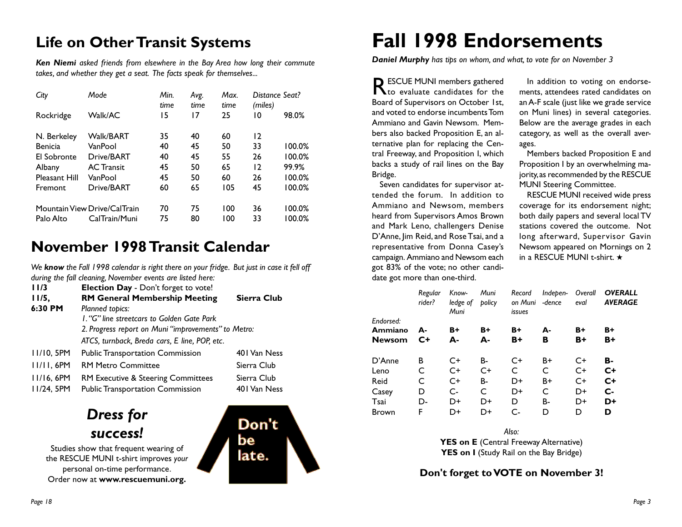### **Life on Other Transit Systems**

*Ken Niemi asked friends from elsewhere in the Bay Area how long their commute takes, and whether they get a seat. The facts speak for themselves...*

| City           | Mode                         | Min.<br>time | Avg.<br>time | Max.<br>time | Distance Seat?<br>(miles) |        |
|----------------|------------------------------|--------------|--------------|--------------|---------------------------|--------|
| Rockridge      | Walk/AC                      | 15           | 17           | 25           | 10                        | 98.0%  |
| N. Berkeley    | <b>Walk/BART</b>             | 35           | 40           | 60           | 12                        |        |
| <b>Benicia</b> | VanPool                      | 40           | 45           | 50           | 33                        | 100.0% |
| El Sobronte    | Drive/BART                   | 40           | 45           | 55           | 26                        | 100.0% |
| Albany         | <b>AC Transit</b>            | 45           | 50           | 65           | 12                        | 99.9%  |
| Pleasant Hill  | VanPool                      | 45           | 50           | 60           | 26                        | 100.0% |
| Fremont        | Drive/BART                   | 60           | 65           | 105          | 45                        | 100.0% |
|                | Mountain View Drive/CalTrain | 70           | 75           | 100          | 36                        | 100.0% |
| Palo Alto      | CalTrain/Muni                | 75           | 80           | 100          | 33                        | 100.0% |

### **November 1998 Transit Calendar**

*We know the Fall 1998 calendar is right there on your fridge. But just in case it fell off during the fall cleaning, November events are listed here:*

| I 1/3        | Election Day - Don't forget to vote!                |              |
|--------------|-----------------------------------------------------|--------------|
| 11/5,        | <b>RM General Membership Meeting</b>                | Sierra Club  |
| 6:30 PM      | Planned topics:                                     |              |
|              | L. "G" line streetcars to Golden Gate Park          |              |
|              | 2. Progress report on Muni "improvements" to Metro: |              |
|              | ATCS, turnback, Breda cars, E line, POP, etc.       |              |
| 11/10, 5PM   | <b>Public Transportation Commission</b>             | 401 Van Ness |
| $11/11.6$ PM | <b>RM Metro Committee</b>                           | Sierra Club  |
| 11/16, 6PM   | <b>RM Executive &amp; Steering Committees</b>       | Sierra Club  |
| 11/24, 5PM   | <b>Public Transportation Commission</b>             | 401 Van Ness |
|              |                                                     |              |

### *Dress for success!*

Studies show that frequent wearing of the RESCUE MUNI t-shirt improves *your* personal on-time performance. Order now at **www.rescuemuni.org.**



## **Fall 1998 Endorsements**

*Daniel Murphy has tips on whom, and what, to vote for on November 3*

RESCUE MUNI members gathered to evaluate candidates for the Board of Supervisors on October 1st, and voted to endorse incumbents Tom Ammiano and Gavin Newsom. Members also backed Proposition E, an alternative plan for replacing the Central Freeway, and Proposition I, which backs a study of rail lines on the Bay Bridge.

Seven candidates for supervisor attended the forum. In addition to Ammiano and Newsom, members heard from Supervisors Amos Brown and Mark Leno, challengers Denise D'Anne, Jim Reid, and Rose Tsai, and a representative from Donna Casey's campaign. Ammiano and Newsom each got 83% of the vote; no other candidate got more than one-third.

In addition to voting on endorsements, attendees rated candidates on an A-F scale (just like we grade service on Muni lines) in several categories. Below are the average grades in each category, as well as the overall averages.

Members backed Proposition E and Proposition I by an overwhelming majority, as recommended by the RESCUE MUNI Steering Committee.

RESCUE MUNI received wide press coverage for its endorsement night; both daily papers and several local TV stations covered the outcome. Not long afterward, Supervisor Gavin Newsom appeared on Mornings on 2 in a RESCUE MUNI t-shirt. ★

| Regular<br>rider? | Know-<br>ledge of<br>Muni | Muni<br>policy | Record<br>on Muni<br>issues | Indepen-<br>-dence | Overall<br>eval | <b>OVERALL</b><br><b>AVERAGE</b> |
|-------------------|---------------------------|----------------|-----------------------------|--------------------|-----------------|----------------------------------|
| А-<br>$C+$        | B+<br>А-                  | B+<br>А-       | B+<br>B+                    | А-<br>в            | B+<br>B+        | $B+$<br>B+                       |
| в                 | C+                        | B-             | C+                          | B+                 | $C+$            | в.                               |
| C                 | $C+$                      | $C+$           | C                           | C                  | $C+$            | $C+$                             |
| C                 | $C+$                      | B-             | D+                          | $B+$               | $C+$            | $C+$                             |
| D                 | $C-$                      | C              | D+                          | C                  | D+              | $c-$                             |
| D-                | D+                        | D+             | D                           | В-                 | D+              | D+                               |
| F                 | D+                        | D+             | $C-$                        | D                  | D               | D                                |
|                   |                           |                |                             |                    |                 |                                  |

*Also:* **YES on E** (Central Freeway Alternative) YES on I (Study Rail on the Bay Bridge)

**Don't forget to VOTE on November 3!**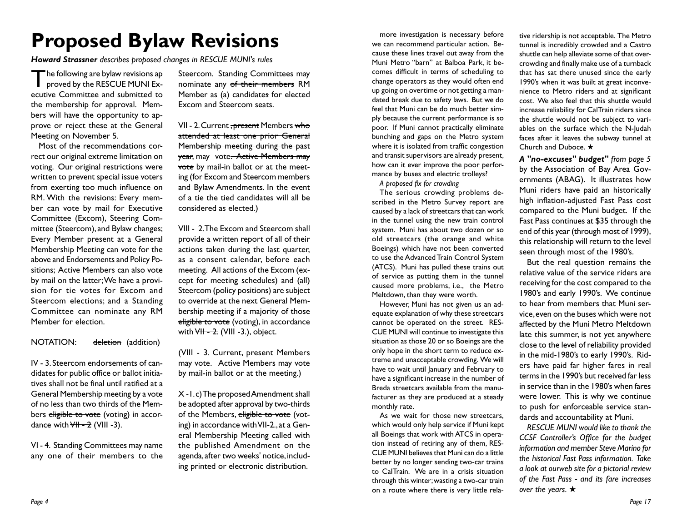## **Proposed Bylaw Revisions**

*Howard Strassner describes proposed changes in RESCUE MUNI's rules*

The following are bylaw revisions approved by the RESCUE MUNI Executive Committee and submitted to the membership for approval. Members will have the opportunity to approve or reject these at the General Meeting on November 5.

Most of the recommendations correct our original extreme limitation on voting. Our original restrictions were written to prevent special issue voters from exerting too much influence on RM. With the revisions: Every member can vote by mail for Executive Committee (Excom), Steering Committee (Steercom), and Bylaw changes; Every Member present at a General Membership Meeting can vote for the above and Endorsements and Policy Positions; Active Members can also vote by mail on the latter; We have a provision for tie votes for Excom and Steercom elections; and a Standing Committee can nominate any RM Member for election.

#### NOTATION: deletion (addition)

IV - 3. Steercom endorsements of candidates for public office or ballot initiatives shall not be final until ratified at a General Membership meeting by a vote of no less than two thirds of the Members eligible to vote (voting) in accordance with  $\sqrt{H - 2}$  (VIII -3).

VI - 4. Standing Committees may name any one of their members to the

Steercom. Standing Committees may nominate any of their members RM Member as (a) candidates for elected Excom and Steercom seats.

VII - 2. Current , present Members who attended at least one prior General Membership meeting during the past year, may vote. Active Members may vote by mail-in ballot or at the meeting (for Excom and Steercom members and Bylaw Amendments. In the event of a tie the tied candidates will all be considered as elected.)

VIII - 2. The Excom and Steercom shall provide a written report of all of their actions taken during the last quarter, as a consent calendar, before each meeting. All actions of the Excom (except for meeting schedules) and (all) Steercom (policy positions) are subject to override at the next General Membership meeting if a majority of those eligible to vote (voting), in accordance with  $\overline{VH}$  - 2. (VIII - 3.), object.

(VIII - 3. Current, present Members may vote. Active Members may vote by mail-in ballot or at the meeting.)

X -1. c) The proposed Amendment shall be adopted after approval by two-thirds of the Members, eligible to vote (voting) in accordance with VII-2., at a General Membership Meeting called with the published Amendment on the agenda, after two weeks' notice, including printed or electronic distribution.

more investigation is necessary before we can recommend particular action. Because these lines travel out away from the Muni Metro "barn" at Balboa Park, it becomes difficult in terms of scheduling to change operators as they would often end up going on overtime or not getting a mandated break due to safety laws. But we do feel that Muni can be do much better simply because the current performance is so poor. If Muni cannot practically eliminate bunching and gaps on the Metro system where it is isolated from traffic congestion and transit supervisors are already present, how can it ever improve the poor performance by buses and electric trolleys?

*A proposed fix for crowding*

The serious crowding problems described in the Metro Survey report are caused by a lack of streetcars that can work in the tunnel using the new train control system. Muni has about two dozen or so old streetcars (the orange and white Boeings) which have not been converted to use the Advanced Train Control System (ATCS). Muni has pulled these trains out of service as putting them in the tunnel caused more problems, i.e., the Metro Meltdown, than they were worth.

However, Muni has not given us an adequate explanation of why these streetcars cannot be operated on the street. RES-CUE MUNI will continue to investigate this situation as those 20 or so Boeings are the only hope in the short term to reduce extreme and unacceptable crowding. We will have to wait until January and February to have a significant increase in the number of Breda streetcars available from the manufacturer as they are produced at a steady monthly rate.

As we wait for those new streetcars, which would only help service if Muni kept all Boeings that work with ATCS in operation instead of retiring any of them, RES-CUE MUNI believes that Muni can do a little better by no longer sending two-car trains to CalTrain. We are in a crisis situation through this winter; wasting a two-car train on a route where there is very little rela-

tive ridership is not acceptable. The Metro tunnel is incredibly crowded and a Castro shuttle can help alleviate some of that overcrowding and finally make use of a turnback that has sat there unused since the early 1990's when it was built at great inconvenience to Metro riders and at significant cost. We also feel that this shuttle would increase reliability for CalTrain riders since the shuttle would not be subject to variables on the surface which the N-Judah faces after it leaves the subway tunnel at Church and Duboce. ★

*A "no-excuses" budget" from page 5* by the Association of Bay Area Governments (ABAG). It illustrates how Muni riders have paid an historically high inflation-adjusted Fast Pass cost compared to the Muni budget. If the Fast Pass continues at \$35 through the end of this year (through most of 1999), this relationship will return to the level seen through most of the 1980's.

But the real question remains the relative value of the service riders are receiving for the cost compared to the 1980's and early 1990's. We continue to hear from members that Muni service, even on the buses which were not affected by the Muni Metro Meltdown late this summer, is not yet anywhere close to the level of reliability provided in the mid-1980's to early 1990's. Riders have paid far higher fares in real terms in the 1990's but received far less in service than in the 1980's when fares were lower. This is why we continue to push for enforceable service standards and accountability at Muni.

*RESCUE MUNI would like to thank the CCSF Controller's Office for the budget information and member Steve Marino for the historical Fast Pass information. Take a look at ourweb site for a pictorial review of the Fast Pass - and its fare increases over the years.* ★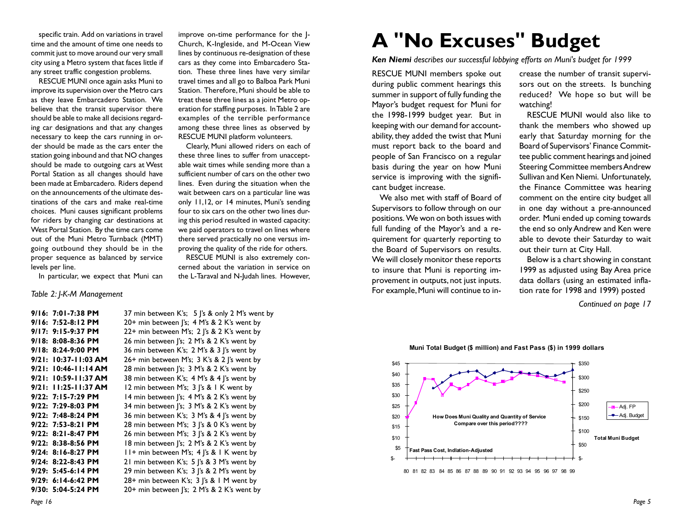specific train. Add on variations in travel time and the amount of time one needs to commit just to move around our very small city using a Metro system that faces little if any street traffic congestion problems.

RESCUE MUNI once again asks Muni to improve its supervision over the Metro cars as they leave Embarcadero Station. We believe that the transit supervisor there should be able to make all decisions regarding car designations and that any changes necessary to keep the cars running in order should be made as the cars enter the station going inbound and that NO changes should be made to outgoing cars at West Portal Station as all changes should have been made at Embarcadero. Riders depend on the announcements of the ultimate destinations of the cars and make real-time choices. Muni causes significant problems for riders by changing car destinations at West Portal Station. By the time cars come out of the Muni Metro Turnback (MMT) going outbound they should be in the proper sequence as balanced by service levels per line.

improve on-time performance for the J-Church, K-Ingleside, and M-Ocean View lines by continuous re-designation of these cars as they come into Embarcadero Station. These three lines have very similar travel times and all go to Balboa Park Muni Station. Therefore, Muni should be able to treat these three lines as a joint Metro operation for staffing purposes. In Table 2 are examples of the terrible performance among these three lines as observed by RESCUE MUNI platform volunteers.

Clearly, Muni allowed riders on each of these three lines to suffer from unacceptable wait times while sending more than a sufficient number of cars on the other two lines. Even during the situation when the wait between cars on a particular line was only 11,12, or 14 minutes, Muni's sending four to six cars on the other two lines during this period resulted in wasted capacity: we paid operators to travel on lines where there served practically no one versus improving the quality of the ride for others.

RESCUE MUNI is also extremely concerned about the variation in service on the L-Taraval and N-Judah lines. However,

In particular, we expect that Muni can

#### *Table 2: J-K-M Management*

**9/16: 7:01-7:38 PM** 37 min between K's; 5 J's & only 2 M's went by **9/16: 7:52-8:12 PM** 20+ min between J's; 4 M's & 2 K's went by **9/17: 9:15-9:37 PM** 22+ min between M's; 2 J's & 2 K's went by **9/18: 8:08-8:36 PM** 26 min between J's; 2 M's & 2 K's went by **9/18: 8:24-9:00 PM** 36 min between K's; 2 M's & 3 J's went by **9/21: 10:37-11:03 AM** 26+ min between M's; 3 K's & 2 J's went by **9/21: 10:46-11:14 AM** 28 min between J's; 3 M's & 2 K's went by **9/21: 10:59-11:37 AM** 38 min between K's; 4 M's & 4 J's went by **9/21: 11:25-11:37 AM** 12 min between M's; 3 J's & 1 K went by **9/22: 7:15-7:29 PM** 14 min between J's; 4 M's & 2 K's went by **9/22: 7:29-8:03 PM** 34 min between J's; 3 M's & 2 K's went by **9/22: 7:48-8:24 PM** 36 min between K's; 3 M's & 4 J's went by **9/22: 7:53-8:21 PM** 28 min between M's; 3 J's & 0 K's went by **9/22: 8:21-8:47 PM** 26 min between M's; 3 J's & 2 K's went by **9/22: 8:38-8:56 PM** 18 min between J's; 2 M's & 2 K's went by **9/24: 8:16-8:27 PM** 11+ min between M's; 4 |'s & 1 K went by **9/24: 8:22-8:43 PM** 21 min between K's; 5 J's & 3 M's went by **9/29: 5:45-6:14 PM** 29 min between K's; 3 J's & 2 M's went by **9/29: 6:14-6:42 PM** 28+ min between K's; 3 J's & 1 M went by **9/30: 5:04-5:24 PM** 20+ min between J's; 2 M's & 2 K's went by

## **A "No Excuses" Budget**

*Ken Niemi describes our successful lobbying efforts on Muni's budget for 1999*

RESCUE MUNI members spoke out during public comment hearings this summer in support of fully funding the Mayor's budget request for Muni for the 1998-1999 budget year. But in keeping with our demand for accountability, they added the twist that Muni must report back to the board and people of San Francisco on a regular basis during the year on how Muni service is improving with the significant budget increase.

We also met with staff of Board of Supervisors to follow through on our positions. We won on both issues with full funding of the Mayor's and a requirement for quarterly reporting to the Board of Supervisors on results. We will closely monitor these reports to insure that Muni is reporting improvement in outputs, not just inputs. For example, Muni will continue to increase the number of transit supervisors out on the streets. Is bunching reduced? We hope so but will be watching!

RESCUE MUNI would also like to thank the members who showed up early that Saturday morning for the Board of Supervisors' Finance Committee public comment hearings and joined Steering Committee members Andrew Sullivan and Ken Niemi. Unfortunately, the Finance Committee was hearing comment on the entire city budget all in one day without a pre-announced order. Muni ended up coming towards the end so only Andrew and Ken were able to devote their Saturday to wait out their turn at City Hall.

Below is a chart showing in constant 1999 as adjusted using Bay Area price data dollars (using an estimated inflation rate for 1998 and 1999) posted

*Continued on page 17*

#### **Muni Total Budget (\$ million) and Fast Pass (\$) in 1999 dollars**



*Page 16*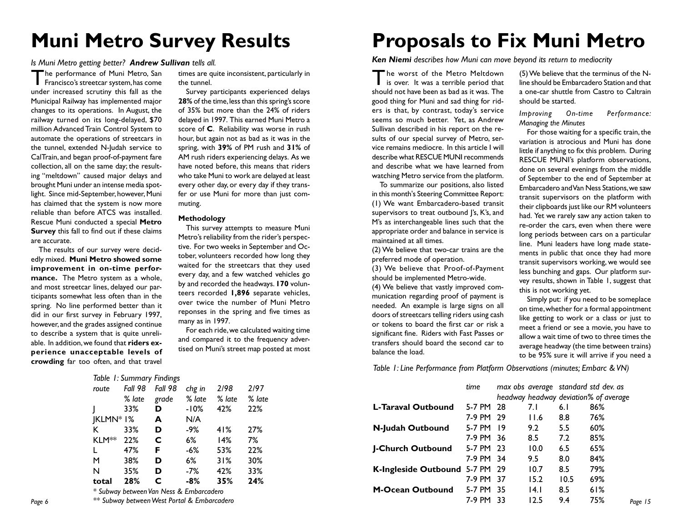### **Muni Metro Survey Results**

#### *Is Muni Metro getting better? Andrew Sullivan tells all.*

The performance of Muni Metro, San Francisco's streetcar system, has come under increased scrutiny this fall as the Municipal Railway has implemented major changes to its operations. In August, the railway turned on its long-delayed, \$70 million Advanced Train Control System to automate the operations of streetcars in the tunnel, extended N-Judah service to CalTrain, and began proof-of-payment fare collection, all on the same day; the resulting "meltdown" caused major delays and brought Muni under an intense media spotlight. Since mid-September, however, Muni has claimed that the system is now more reliable than before ATCS was installed. Rescue Muni conducted a special **Metro Survey** this fall to find out if these claims are accurate.

The results of our survey were decidedly mixed. **Muni Metro showed some improvement in on-time performance.** The Metro system as a whole, and most streetcar lines, delayed our participants somewhat less often than in the spring. No line performed better than it did in our first survey in February 1997, however, and the grades assigned continue to describe a system that is quite unreliable. In addition, we found that **riders experience unacceptable levels of crowding** far too often, and that travel

times are quite inconsistent, particularly in the tunnel.

Survey participants experienced delays **28%** of the time, less than this spring's score of 35% but more than the 24% of riders delayed in 1997. This earned Muni Metro a score of **C**. Reliability was worse in rush hour, but again not as bad as it was in the spring, with **39%** of PM rush and **31%** of AM rush riders experiencing delays. As we have noted before, this means that riders who take Muni to work are delayed at least every other day, or every day if they transfer or use Muni for more than just commuting.

#### **Methodology**

This survey attempts to measure Muni Metro's reliability from the rider's perspective. For two weeks in September and October, volunteers recorded how long they waited for the streetcars that they used every day, and a few watched vehicles go by and recorded the headways. **170** volunteers recorded **1,896** separate vehicles, over twice the number of Muni Metro reponses in the spring and five times as many as in 1997.

For each ride, we calculated waiting time and compared it to the frequency advertised on Muni's street map posted at most

### **Proposals to Fix Muni Metro**

(5) We believe that the terminus of the Nline should be Embarcadero Station and that a one-car shuttle from Castro to Caltrain

*Improving On-time Performance:*

For those waiting for a specific train, the variation is atrocious and Muni has done little if anything to fix this problem. During RESCUE MUNI's platform observations, done on several evenings from the middle of September to the end of September at Embarcadero and Van Ness Stations, we saw transit supervisors on the platform with their clipboards just like our RM volunteers had. Yet we rarely saw any action taken to re-order the cars, even when there were long periods between cars on a particular line. Muni leaders have long made statements in public that once they had more transit supervisors working, we would see less bunching and gaps. Our platform survey results, shown in Table 1, suggest that

Simply put: if you need to be someplace on time, whether for a formal appointment like getting to work or a class or just to meet a friend or see a movie, you have to allow a wait time of two to three times the average headway (the time between trains) to be 95% sure it will arrive if you need a

should be started.

*Managing the Minutes*

this is not working yet.

*Ken Niemi describes how Muni can move beyond its return to mediocrity*

The worst of the Metro Meltdown **is over.** It was a terrible period that should not have been as bad as it was. The good thing for Muni and sad thing for riders is that, by contrast, today's service seems so much better. Yet, as Andrew Sullivan described in his report on the results of our special survey of Metro, service remains mediocre. In this article I will describe what RESCUE MUNI recommends and describe what we have learned from watching Metro service from the platform.

To summarize our positions, also listed in this month's Steering Committee Report: (1) We want Embarcadero-based transit supervisors to treat outbound I's, K's, and M's as interchangeable lines such that the appropriate order and balance in service is maintained at all times.

(2) We believe that two-car trains are the preferred mode of operation.

(3) We believe that Proof-of-Payment should be implemented Metro-wide.

(4) We believe that vastly improved communication regarding proof of payment is needed. An example is large signs on all doors of streetcars telling riders using cash or tokens to board the first car or risk a significant fine. Riders with Fast Passes or transfers should board the second car to balance the load.

*Table 1: Line Performance from Platform Observations (minutes; Embarc & VN)*

| route             | Fall 98 | Fall 98                                     | chg in | 2/98   | 2197   |                                       | time      |      |      | max obs average standard std dev. as  |         |
|-------------------|---------|---------------------------------------------|--------|--------|--------|---------------------------------------|-----------|------|------|---------------------------------------|---------|
|                   | % late  | grade                                       | % late | % late | % late |                                       |           |      |      | headway headway deviation% of average |         |
|                   | 33%     | D                                           | -10%   | 42%    | 22%    | L-Taraval Outbound                    | 5-7 PM 28 |      | 6.1  | 86%                                   |         |
| $IKLMN*1%$        |         | A                                           | N/A    |        |        |                                       | 7-9 PM 29 | 11.6 | 8.8  | 76%                                   |         |
| K                 | 33%     | D                                           | -9%    | 41%    | 27%    | N-Judah Outbound                      | 5-7 PM 19 | 9.2  | 5.5  | 60%                                   |         |
| KLM <sup>**</sup> | 22%     | C                                           | 6%     | 14%    | 7%     |                                       | 7-9 PM 36 | 8.5  | 7.2  | 85%                                   |         |
| L                 | 47%     | F                                           | -6%    | 53%    | 22%    | <b>J-Church Outbound</b>              | 5-7 PM 23 | 10.0 | 6.5  | 65%                                   |         |
| M                 | 38%     | D                                           | 6%     | 31%    | 30%    |                                       | 7-9 PM 34 | 9.5  | 8.0  | 84%                                   |         |
| N                 | 35%     | D                                           | -7%    | 42%    | 33%    | <b>K-Ingleside Outbound 5-7 PM 29</b> |           | 10.7 | 8.5  | 79%                                   |         |
| total             | 28%     | C                                           | $-8%$  | 35%    | 24%    |                                       | 7-9 PM 37 | 15.2 | 10.5 | 69%                                   |         |
|                   |         | * Subway between Van Ness & Embarcadero     |        |        |        | <b>M-Ocean Outbound</b>               | 5-7 PM 35 | 4.1  | 8.5  | 61%                                   |         |
|                   |         | ** Subway between West Portal & Embarcadero |        |        |        |                                       | 7-9 PM 33 | 12.5 | 9.4  | 75%                                   | Page 15 |
|                   |         |                                             |        |        |        |                                       |           |      |      |                                       |         |

| route             | Fall 98 | Fall 98 | chg in | 2/98   | 2/97   |
|-------------------|---------|---------|--------|--------|--------|
|                   | % late  | grade   | % late | % late | % late |
|                   | 33%     | D       | -10%   | 42%    | 22%    |
| JKLMN* I%         |         | A       | N/A    |        |        |
| K                 | 33%     | D       | -9%    | 41%    | 27%    |
| KLM <sup>**</sup> | 22%     | C       | 6%     | 14%    | 7%     |
| L                 | 47%     | F       | -6%    | 53%    | 22%    |
| M                 | 38%     | D       | 6%     | 31%    | 30%    |
| N                 | 35%     | D       | -7%    | 42%    | 33%    |
| total             | 28%     | C       | $-8%$  | 35%    | 24%    |
|                   |         |         |        |        |        |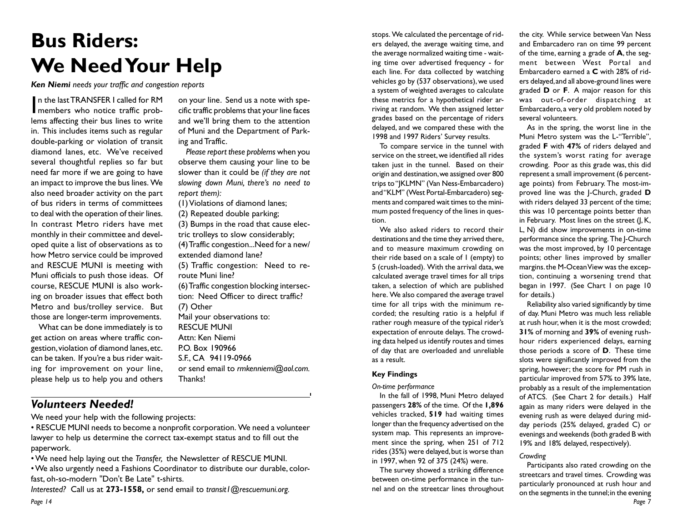## **Bus Riders: We Need Your Help**

on your line. Send us a note with specific traffic problems that your line faces and we'll bring them to the attention of Muni and the Department of Park-

*Please report these problems* when you observe them causing your line to be slower than it could be *(if they are not slowing down Muni, there's no need to*

(1) Violations of diamond lanes; (2) Repeated double parking;

extended diamond lane?

Mail your observations to:

route Muni line?

RESCUE MUNI Attn: Ken Niemi P.O. Box 190966 S.F., CA 94119-0966

(7) Other

Thanks!

(3) Bumps in the road that cause electric trolleys to slow considerably; (4) Traffic congestion...Need for a new/

(5) Traffic congestion: Need to re-

(6) Traffic congestion blocking intersection: Need Officer to direct traffic?

or send email to *rmkenniemi@aol.com.*

ing and Traffic.

*report them):*

*Ken Niemi needs your traffic and congestion reports*

In the last TRANSFER I called for RM<br>
members who notice traffic probn the last TRANSFER I called for RM lems affecting their bus lines to write in. This includes items such as regular double-parking or violation of transit diamond lanes, etc. We've received several thoughtful replies so far but need far more if we are going to have an impact to improve the bus lines. We also need broader activity on the part of bus riders in terms of committees to deal with the operation of their lines. In contrast Metro riders have met monthly in their committee and developed quite a list of observations as to how Metro service could be improved and RESCUE MUNI is meeting with Muni officials to push those ideas. Of course, RESCUE MUNI is also working on broader issues that effect both Metro and bus/trolley service. But those are longer-term improvements.

What can be done immediately is to get action on areas where traffic congestion, violation of diamond lanes, etc. can be taken. If you're a bus rider waiting for improvement on your line, please help us to help you and others

*Volunteers Needed!*

We need your help with the following projects:

• RESCUE MUNI needs to become a nonprofit corporation. We need a volunteer lawyer to help us determine the correct tax-exempt status and to fill out the paperwork.

• We need help laying out the *Transfer,* the Newsletter of RESCUE MUNI.

• We also urgently need a Fashions Coordinator to distribute our durable, colorfast, oh-so-modern "Don't Be Late" t-shirts.

*Page 14 Interested?* Call us at **273-1558,** or send email to *transit1@rescuemuni.org.*

stops. We calculated the percentage of riders delayed, the average waiting time, and the average normalized waiting time - waiting time over advertised frequency - for each line. For data collected by watching vehicles go by (537 observations), we used a system of weighted averages to calculate these metrics for a hypothetical rider arriving at random. We then assigned letter grades based on the percentage of riders delayed, and we compared these with the 1998 and 1997 Riders' Survey results.

To compare service in the tunnel with service on the street, we identified all rides taken just in the tunnel. Based on their origin and destination, we assigned over 800 trips to "JKLMN" (Van Ness-Embarcadero) and "KLM" (West Portal-Embarcadero) segments and compared wait times to the minimum posted frequency of the lines in question.

We also asked riders to record their destinations and the time they arrived there, and to measure maximum crowding on their ride based on a scale of 1 (empty) to 5 (crush-loaded). With the arrival data, we calculated average travel times for all trips taken, a selection of which are published here. We also compared the average travel time for all trips with the minimum recorded; the resulting ratio is a helpful if rather rough measure of the typical rider's expectation of enroute delays. The crowding data helped us identify routes and times of day that are overloaded and unreliable as a result.

#### **Key Findings**

*On-time performance*

In the fall of 1998, Muni Metro delayed passengers **28%** of the time. Of the **1,896** vehicles tracked, **519** had waiting times longer than the frequency advertised on the system map. This represents an improvement since the spring, when 251 of 712 rides (35%) were delayed, but is worse than in 1997, when 92 of 375 (24%) were.

The survey showed a striking difference between on-time performance in the tunnel and on the streetcar lines throughout

the city. While service between Van Ness and Embarcadero ran on time 99 percent of the time, earning a grade of **A**, the segment between West Portal and Embarcadero earned a **C** with 28% of riders delayed, and all above-ground lines were graded **D** or **F**. A major reason for this was out-of-order dispatching at Embarcadero, a very old problem noted by several volunteers.

As in the spring, the worst line in the Muni Metro system was the L-"Terrible", graded **F** with **47%** of riders delayed and the system's worst rating for average crowding. Poor as this grade was, this did represent a small improvement (6 percentage points) from February. The most-improved line was the J-Church, graded **D** with riders delayed 33 percent of the time; this was 10 percentage points better than in February. Most lines on the street (J, K, L, N) did show improvements in on-time performance since the spring. The J-Church was the most improved, by 10 percentage points; other lines improved by smaller margins. the M-Ocean View was the exception, continuing a worsening trend that began in 1997. (See Chart I on page 10 for details.)

Reliability also varied significantly by time of day. Muni Metro was much less reliable at rush hour, when it is the most crowded; **31%** of morning and **39%** of evening rushhour riders experienced delays, earning those periods a score of **D**. These time slots were significantly improved from the spring, however; the score for PM rush in particular improved from 57% to 39% late, probably as a result of the implementation of ATCS. (See Chart 2 for details.) Half again as many riders were delayed in the evening rush as were delayed during midday periods (25% delayed, graded C) or evenings and weekends (both graded B with 19% and 18% delayed, respectively).

#### *Crowding*

*Page 7* Participants also rated crowding on the streetcars and travel times. Crowding was particularly pronounced at rush hour and on the segments in the tunnel; in the evening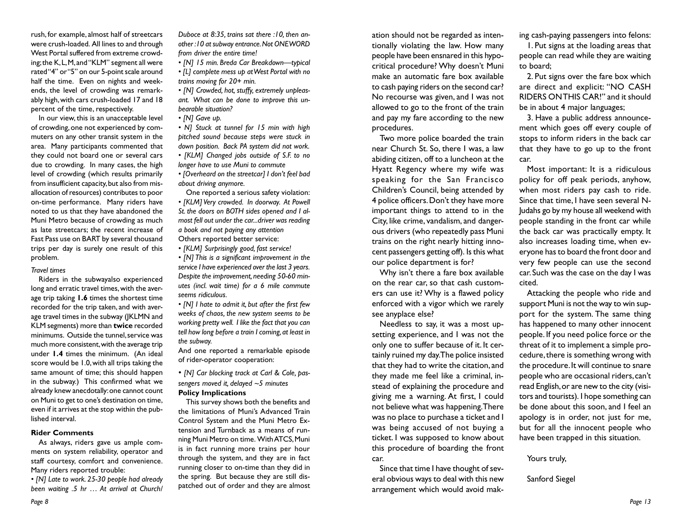rush, for example, almost half of streetcars were crush-loaded. All lines to and through West Portal suffered from extreme crowding; the K, L, M, and "KLM" segment all were rated "4" or "5" on our 5-point scale around half the time. Even on nights and weekends, the level of crowding was remarkably high, with cars crush-loaded 17 and 18 percent of the time, respectively.

In our view, this is an unacceptable level of crowding, one not experienced by commuters on any other transit system in the area. Many participants commented that they could not board one or several cars due to crowding. In many cases, the high level of crowding (which results primarily from insufficient capacity, but also from misallocation of resources) contributes to poor on-time performance. Many riders have noted to us that they have abandoned the Muni Metro because of crowding as much as late streetcars; the recent increase of Fast Pass use on BART by several thousand trips per day is surely one result of this problem.

#### *Travel times*

Riders in the subwayalso experienced long and erratic travel times, with the average trip taking **1.6** times the shortest time recorded for the trip taken, and with average travel times in the subway (JKLMN and KLM segments) more than **twice** recorded minimums. Outside the tunnel, service was much more consistent, with the average trip under **1.4** times the minimum. (An ideal score would be 1.0, with all trips taking the same amount of time; this should happen in the subway.) This confirmed what we already knew anecdotally: one cannot count on Muni to get to one's destination on time, even if it arrives at the stop within the published interval.

#### **Rider Comments**

As always, riders gave us ample comments on system reliability, operator and staff courtesy, comfort and convenience. Many riders reported trouble:

*• [N] Late to work. 25-30 people had already been waiting .5 hr … At arrival at Church/* *Duboce at 8:35, trains sat there :10, then another :10 at subway entrance. Not ONE WORD from driver the entire time!*

*• [N] 15 min. Breda Car Breakdown—typical*

*• [L] complete mess up at West Portal with no trains moving for 20+ min.*

*• [N] Crowded, hot, stuffy, extremely unpleasant. What can be done to improve this unbearable situation?*

*• [N] Gave up.*

*• N] Stuck at tunnel for 15 min with high pitched sound because steps were stuck in down position. Back PA system did not work. • [KLM] Changed jobs outside of S.F. to no*

*longer have to use Muni to commute*

*• [Overheard on the streetcar] I don't feel bad about driving anymore.*

One reported a serious safety violation:

*• [KLM] Very crowded. In doorway. At Powell St. the doors on BOTH sides opened and I almost fell out under the car...driver was reading a book and not paying any attention* Others reported better service:

*• [KLM] Surprisingly good, fast service!*

*• [N] This is a significant improvement in the service I have experienced over the last 3 years. Despite the improvement, needing 50-60 minutes (incl. wait time) for a 6 mile commute seems ridiculous.*

*• [N] I hate to admit it, but after the first few weeks of chaos, the new system seems to be working pretty well. I like the fact that you can tell how long before a train I coming, at least in the subway.*

And one reported a remarkable episode of rider-operator cooperation:

*• [N] Car blocking track at Carl & Cole, passengers moved it, delayed ~5 minutes* **Policy Implications**

This survey shows both the benefits and the limitations of Muni's Advanced Train Control System and the Muni Metro Extension and Turnback as a means of running Muni Metro on time. With ATCS, Muni is in fact running more trains per hour through the system, and they are in fact running closer to on-time than they did in the spring. But because they are still dispatched out of order and they are almost

ation should not be regarded as intentionally violating the law. How many people have been ensnared in this hypocritical procedure? Why doesn't Muni make an automatic fare box available to cash paying riders on the second car? No recourse was given, and I was not allowed to go to the front of the train and pay my fare according to the new procedures.

Two more police boarded the train near Church St. So, there I was, a law abiding citizen, off to a luncheon at the Hyatt Regency where my wife was speaking for the San Francisco Children's Council, being attended by 4 police officers. Don't they have more important things to attend to in the City, like crime, vandalism, and dangerous drivers (who repeatedly pass Muni trains on the right nearly hitting innocent passengers getting off). Is this what our police department is for?

Why isn't there a fare box available on the rear car, so that cash customers can use it? Why is a flawed policy enforced with a vigor which we rarely see anyplace else?

Needless to say, it was a most upsetting experience, and I was not the only one to suffer because of it. It certainly ruined my day. The police insisted that they had to write the citation, and they made me feel like a criminal, instead of explaining the procedure and giving me a warning. At first, I could not believe what was happening. There was no place to purchase a ticket and I was being accused of not buying a ticket. I was supposed to know about this procedure of boarding the front car.

Since that time I have thought of several obvious ways to deal with this new arrangement which would avoid making cash-paying passengers into felons:

1. Put signs at the loading areas that people can read while they are waiting to board;

2. Put signs over the fare box which are direct and explicit: "NO CASH RIDERS ON THIS CAR!" and it should be in about 4 major languages;

3. Have a public address announcement which goes off every couple of stops to inform riders in the back car that they have to go up to the front car.

Most important: It is a ridiculous policy for off peak periods, anyhow, when most riders pay cash to ride. Since that time, I have seen several N-Judahs go by my house all weekend with people standing in the front car while the back car was practically empty. It also increases loading time, when everyone has to board the front door and very few people can use the second car. Such was the case on the day I was cited.

Attacking the people who ride and support Muni is not the way to win support for the system. The same thing has happened to many other innocent people. If you need police force or the threat of it to implement a simple procedure, there is something wrong with the procedure. It will continue to snare people who are occasional riders, can't read English, or are new to the city (visitors and tourists). I hope something can be done about this soon, and I feel an apology is in order, not just for me, but for all the innocent people who have been trapped in this situation.

Yours truly,

Sanford Siegel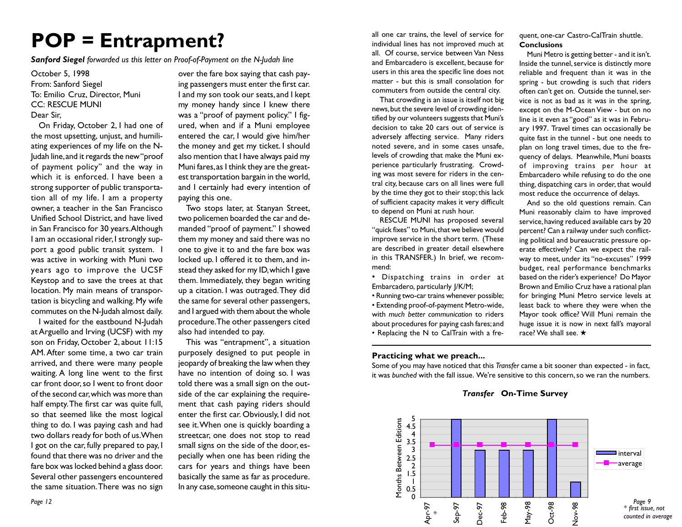## **POP = Entrapment?**

*Sanford Siegel forwarded us this letter on Proof-of-Payment on the N-Judah line*

### October 5, 1998 From: Sanford Siegel To: Emilio Cruz, Director, Muni CC: RESCUE MUNI Dear Sir,

On Friday, October 2, I had one of the most upsetting, unjust, and humiliating experiences of my life on the N-Judah line, and it regards the new "proof of payment policy" and the way in which it is enforced. I have been a strong supporter of public transportation all of my life. I am a property owner, a teacher in the San Francisco Unified School District, and have lived in San Francisco for 30 years. Although I am an occasional rider, I strongly support a good public transit system. I was active in working with Muni two years ago to improve the UCSF Keystop and to save the trees at that location. My main means of transportation is bicycling and walking. My wife commutes on the N-Judah almost daily.

I waited for the eastbound N-Judah at Arguello and Irving (UCSF) with my son on Friday, October 2, about 11:15 AM. After some time, a two car train arrived, and there were many people waiting. A long line went to the first car front door, so I went to front door of the second car, which was more than half empty. The first car was quite full, so that seemed like the most logical thing to do. I was paying cash and had two dollars ready for both of us. When I got on the car, fully prepared to pay, I found that there was no driver and the fare box was locked behind a glass door. Several other passengers encountered the same situation. There was no sign

over the fare box saying that cash paying passengers must enter the first car. I and my son took our seats, and I kept my money handy since I knew there was a "proof of payment policy." I figured, when and if a Muni employee entered the car, I would give him/her the money and get my ticket. I should also mention that I have always paid my Muni fares, as I think they are the greatest transportation bargain in the world, and I certainly had every intention of paying this one.

Two stops later, at Stanyan Street, two policemen boarded the car and demanded "proof of payment." I showed them my money and said there was no one to give it to and the fare box was locked up. I offered it to them, and instead they asked for my ID, which I gave them. Immediately, they began writing up a citation. I was outraged. They did the same for several other passengers, and I argued with them about the whole procedure. The other passengers cited also had intended to pay.

This was "entrapment", a situation purposely designed to put people in jeopardy of breaking the law when they have no intention of doing so. I was told there was a small sign on the outside of the car explaining the requirement that cash paying riders should enter the first car. Obviously, I did not see it. When one is quickly boarding a streetcar, one does not stop to read small signs on the side of the door, especially when one has been riding the cars for years and things have been basically the same as far as procedure. In any case, someone caught in this situall one car trains, the level of service for individual lines has not improved much at all. Of course, service between Van Ness and Embarcadero is excellent, because for users in this area the specific line does not matter - but this is small consolation for commuters from outside the central city.

That crowding is an issue is itself not big news, but the severe level of crowding identified by our volunteers suggests that Muni's decision to take 20 cars out of service is adversely affecting service. Many riders noted severe, and in some cases unsafe, levels of crowding that make the Muni experience particularly frustrating. Crowding was most severe for riders in the central city, because cars on all lines were full by the time they got to their stop; this lack of sufficient capacity makes it very difficult to depend on Muni at rush hour.

RESCUE MUNI has proposed several "quick fixes" to Muni, that we believe would improve service in the short term. (These are described in greater detail elsewhere in this TRANSFER.) In brief, we recommend:

• Dispatching trains in order at Embarcadero, particularly J/K/M;

• Running two-car trains whenever possible; • Extending proof-of-payment Metro-wide, with *much better communication* to riders about procedures for paying cash fares; and • Replacing the N to CalTrain with a fre-

**Practicing what we preach...**

Some of you may have noticed that this *Transfer* came a bit sooner than expected - in fact, it was *bunched* with the fall issue. We're sensitive to this concern, so we ran the numbers.

### *Transfer* **On-Time Survey**



quent, one-car Castro-CalTrain shuttle. **Conclusions**

Muni Metro is getting better - and it isn't. Inside the tunnel, service is distinctly more reliable and frequent than it was in the spring - but crowding is such that riders often can't get on. Outside the tunnel, service is not as bad as it was in the spring, except on the M-Ocean View - but on no line is it even as "good" as it was in February 1997. Travel times can occasionally be quite fast in the tunnel - but one needs to plan on long travel times, due to the frequency of delays. Meanwhile, Muni boasts of improving trains per hour at Embarcadero while refusing to do the one thing, dispatching cars in order, that would most reduce the occurrence of delays.

And so the old questions remain. Can Muni reasonably claim to have improved service, having reduced available cars by 20 percent? Can a railway under such conflicting political and bureaucratic pressure operate effectively? Can we expect the railway to meet, under its "no-excuses" 1999 budget, real performance benchmarks based on the rider's experience? Do Mayor Brown and Emilio Cruz have a rational plan for bringing Muni Metro service levels at least back to where they were when the Mayor took office? Will Muni remain the huge issue it is now in next fall's mayoral race? We shall see. ★